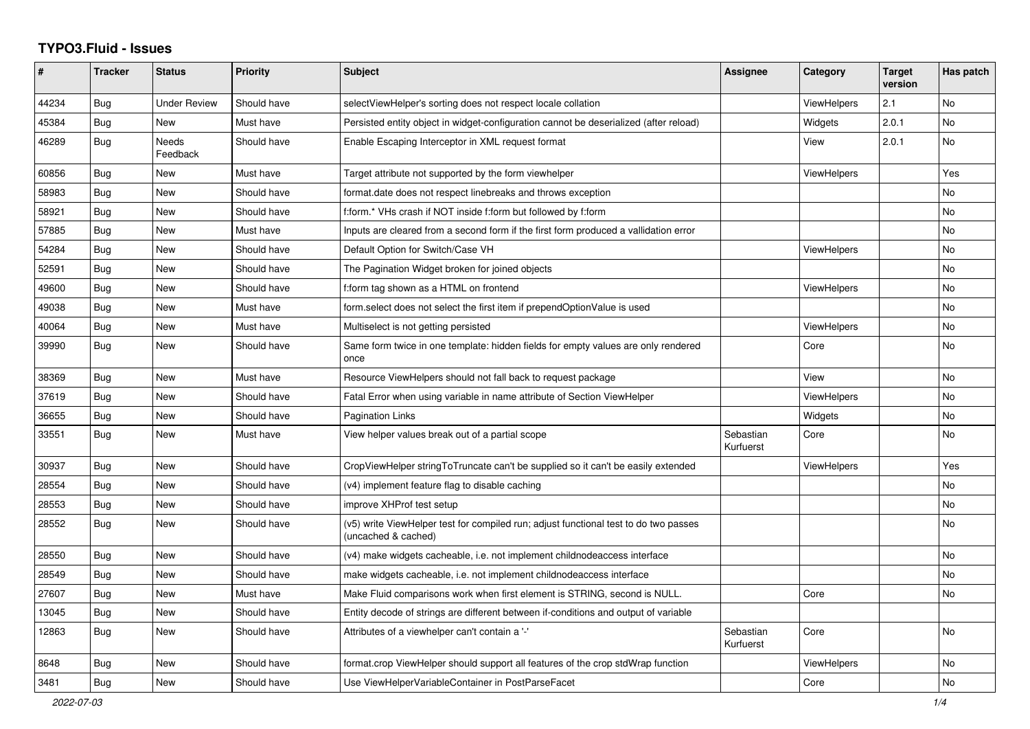## **TYPO3.Fluid - Issues**

| #     | <b>Tracker</b> | <b>Status</b>       | <b>Priority</b> | <b>Subject</b>                                                                                              | Assignee               | Category           | <b>Target</b><br>version | Has patch |
|-------|----------------|---------------------|-----------------|-------------------------------------------------------------------------------------------------------------|------------------------|--------------------|--------------------------|-----------|
| 44234 | <b>Bug</b>     | <b>Under Review</b> | Should have     | selectViewHelper's sorting does not respect locale collation                                                |                        | ViewHelpers        | 2.1                      | <b>No</b> |
| 45384 | Bug            | New                 | Must have       | Persisted entity object in widget-configuration cannot be deserialized (after reload)                       |                        | Widgets            | 2.0.1                    | No        |
| 46289 | <b>Bug</b>     | Needs<br>Feedback   | Should have     | Enable Escaping Interceptor in XML request format                                                           |                        | View               | 2.0.1                    | No        |
| 60856 | <b>Bug</b>     | New                 | Must have       | Target attribute not supported by the form viewhelper                                                       |                        | ViewHelpers        |                          | Yes       |
| 58983 | Bug            | New                 | Should have     | format.date does not respect linebreaks and throws exception                                                |                        |                    |                          | No        |
| 58921 | <b>Bug</b>     | New                 | Should have     | f:form.* VHs crash if NOT inside f:form but followed by f:form                                              |                        |                    |                          | <b>No</b> |
| 57885 | Bug            | <b>New</b>          | Must have       | Inputs are cleared from a second form if the first form produced a vallidation error                        |                        |                    |                          | No        |
| 54284 | <b>Bug</b>     | New                 | Should have     | Default Option for Switch/Case VH                                                                           |                        | ViewHelpers        |                          | <b>No</b> |
| 52591 | Bug            | New                 | Should have     | The Pagination Widget broken for joined objects                                                             |                        |                    |                          | No        |
| 49600 | Bug            | New                 | Should have     | f:form tag shown as a HTML on frontend                                                                      |                        | <b>ViewHelpers</b> |                          | No        |
| 49038 | Bug            | New                 | Must have       | form.select does not select the first item if prependOptionValue is used                                    |                        |                    |                          | No        |
| 40064 | <b>Bug</b>     | New                 | Must have       | Multiselect is not getting persisted                                                                        |                        | ViewHelpers        |                          | No        |
| 39990 | Bug            | New                 | Should have     | Same form twice in one template: hidden fields for empty values are only rendered<br>once                   |                        | Core               |                          | <b>No</b> |
| 38369 | Bug            | New                 | Must have       | Resource ViewHelpers should not fall back to request package                                                |                        | View               |                          | No        |
| 37619 | Bug            | New                 | Should have     | Fatal Error when using variable in name attribute of Section ViewHelper                                     |                        | <b>ViewHelpers</b> |                          | <b>No</b> |
| 36655 | Bug            | <b>New</b>          | Should have     | <b>Pagination Links</b>                                                                                     |                        | Widgets            |                          | <b>No</b> |
| 33551 | Bug            | New                 | Must have       | View helper values break out of a partial scope                                                             | Sebastian<br>Kurfuerst | Core               |                          | No        |
| 30937 | Bug            | New                 | Should have     | CropViewHelper stringToTruncate can't be supplied so it can't be easily extended                            |                        | ViewHelpers        |                          | Yes       |
| 28554 | <b>Bug</b>     | New                 | Should have     | (v4) implement feature flag to disable caching                                                              |                        |                    |                          | No.       |
| 28553 | <b>Bug</b>     | New                 | Should have     | improve XHProf test setup                                                                                   |                        |                    |                          | <b>No</b> |
| 28552 | Bug            | New                 | Should have     | (v5) write ViewHelper test for compiled run; adjust functional test to do two passes<br>(uncached & cached) |                        |                    |                          | No        |
| 28550 | Bug            | New                 | Should have     | (v4) make widgets cacheable, i.e. not implement childnodeaccess interface                                   |                        |                    |                          | <b>No</b> |
| 28549 | Bug            | <b>New</b>          | Should have     | make widgets cacheable, i.e. not implement childnodeaccess interface                                        |                        |                    |                          | No        |
| 27607 | Bug            | New                 | Must have       | Make Fluid comparisons work when first element is STRING, second is NULL.                                   |                        | Core               |                          | <b>No</b> |
| 13045 | Bug            | New                 | Should have     | Entity decode of strings are different between if-conditions and output of variable                         |                        |                    |                          |           |
| 12863 | <b>Bug</b>     | New                 | Should have     | Attributes of a viewhelper can't contain a '-'                                                              | Sebastian<br>Kurfuerst | Core               |                          | No        |
| 8648  | Bug            | New                 | Should have     | format.crop ViewHelper should support all features of the crop stdWrap function                             |                        | ViewHelpers        |                          | No        |
| 3481  | Bug            | New                 | Should have     | Use ViewHelperVariableContainer in PostParseFacet                                                           |                        | Core               |                          | No        |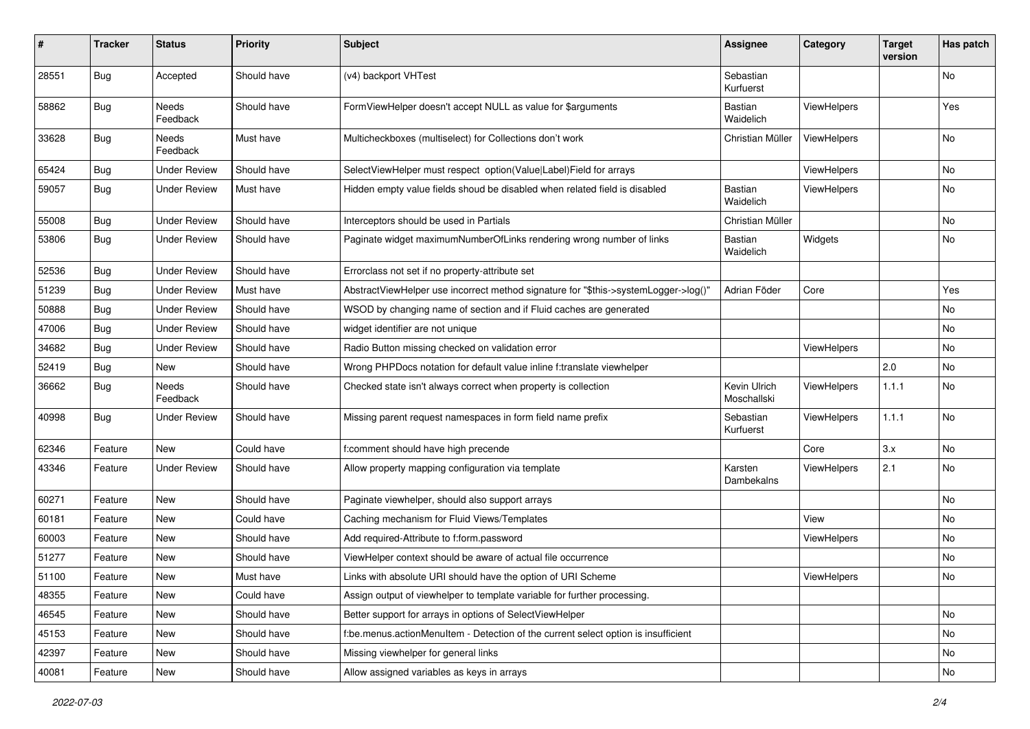| $\pmb{\#}$ | <b>Tracker</b> | <b>Status</b>       | <b>Priority</b> | Subject                                                                             | <b>Assignee</b>             | Category           | <b>Target</b><br>version | Has patch |
|------------|----------------|---------------------|-----------------|-------------------------------------------------------------------------------------|-----------------------------|--------------------|--------------------------|-----------|
| 28551      | Bug            | Accepted            | Should have     | (v4) backport VHTest                                                                | Sebastian<br>Kurfuerst      |                    |                          | No        |
| 58862      | <b>Bug</b>     | Needs<br>Feedback   | Should have     | FormViewHelper doesn't accept NULL as value for \$arguments                         | Bastian<br>Waidelich        | ViewHelpers        |                          | Yes       |
| 33628      | Bug            | Needs<br>Feedback   | Must have       | Multicheckboxes (multiselect) for Collections don't work                            | Christian Müller            | ViewHelpers        |                          | No        |
| 65424      | Bug            | <b>Under Review</b> | Should have     | SelectViewHelper must respect option(Value Label)Field for arrays                   |                             | ViewHelpers        |                          | No        |
| 59057      | Bug            | <b>Under Review</b> | Must have       | Hidden empty value fields shoud be disabled when related field is disabled          | <b>Bastian</b><br>Waidelich | ViewHelpers        |                          | No        |
| 55008      | Bug            | <b>Under Review</b> | Should have     | Interceptors should be used in Partials                                             | Christian Müller            |                    |                          | No        |
| 53806      | <b>Bug</b>     | <b>Under Review</b> | Should have     | Paginate widget maximumNumberOfLinks rendering wrong number of links                | Bastian<br>Waidelich        | Widgets            |                          | No        |
| 52536      | Bug            | <b>Under Review</b> | Should have     | Errorclass not set if no property-attribute set                                     |                             |                    |                          |           |
| 51239      | <b>Bug</b>     | <b>Under Review</b> | Must have       | AbstractViewHelper use incorrect method signature for "\$this->systemLogger->log()" | Adrian Föder                | Core               |                          | Yes       |
| 50888      | Bug            | <b>Under Review</b> | Should have     | WSOD by changing name of section and if Fluid caches are generated                  |                             |                    |                          | No        |
| 47006      | Bug            | <b>Under Review</b> | Should have     | widget identifier are not unique                                                    |                             |                    |                          | No        |
| 34682      | Bug            | <b>Under Review</b> | Should have     | Radio Button missing checked on validation error                                    |                             | <b>ViewHelpers</b> |                          | No        |
| 52419      | <b>Bug</b>     | New                 | Should have     | Wrong PHPDocs notation for default value inline f:translate viewhelper              |                             |                    | 2.0                      | No        |
| 36662      | <b>Bug</b>     | Needs<br>Feedback   | Should have     | Checked state isn't always correct when property is collection                      | Kevin Ulrich<br>Moschallski | ViewHelpers        | 1.1.1                    | No        |
| 40998      | Bug            | Under Review        | Should have     | Missing parent request namespaces in form field name prefix                         | Sebastian<br>Kurfuerst      | ViewHelpers        | 1.1.1                    | <b>No</b> |
| 62346      | Feature        | <b>New</b>          | Could have      | f:comment should have high precende                                                 |                             | Core               | 3.x                      | No        |
| 43346      | Feature        | <b>Under Review</b> | Should have     | Allow property mapping configuration via template                                   | Karsten<br>Dambekalns       | ViewHelpers        | 2.1                      | No        |
| 60271      | Feature        | New                 | Should have     | Paginate viewhelper, should also support arrays                                     |                             |                    |                          | No        |
| 60181      | Feature        | New                 | Could have      | Caching mechanism for Fluid Views/Templates                                         |                             | View               |                          | No        |
| 60003      | Feature        | New                 | Should have     | Add required-Attribute to f:form.password                                           |                             | ViewHelpers        |                          | No        |
| 51277      | Feature        | New                 | Should have     | ViewHelper context should be aware of actual file occurrence                        |                             |                    |                          | No        |
| 51100      | Feature        | New                 | Must have       | Links with absolute URI should have the option of URI Scheme                        |                             | ViewHelpers        |                          | No        |
| 48355      | Feature        | New                 | Could have      | Assign output of viewhelper to template variable for further processing.            |                             |                    |                          |           |
| 46545      | Feature        | New                 | Should have     | Better support for arrays in options of SelectViewHelper                            |                             |                    |                          | No        |
| 45153      | Feature        | New                 | Should have     | f:be.menus.actionMenuItem - Detection of the current select option is insufficient  |                             |                    |                          | No        |
| 42397      | Feature        | New                 | Should have     | Missing viewhelper for general links                                                |                             |                    |                          | No        |
| 40081      | Feature        | New                 | Should have     | Allow assigned variables as keys in arrays                                          |                             |                    |                          | No        |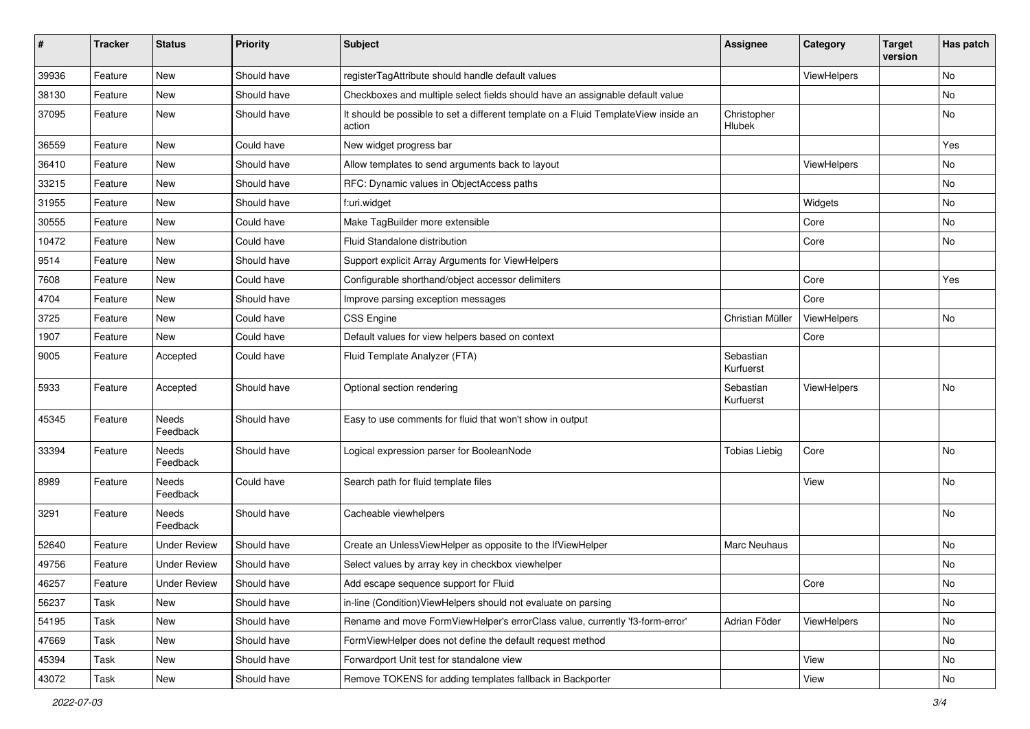| #     | <b>Tracker</b> | <b>Status</b>       | <b>Priority</b> | Subject                                                                                       | Assignee               | Category           | <b>Target</b><br>version | Has patch |
|-------|----------------|---------------------|-----------------|-----------------------------------------------------------------------------------------------|------------------------|--------------------|--------------------------|-----------|
| 39936 | Feature        | New                 | Should have     | registerTagAttribute should handle default values                                             |                        | ViewHelpers        |                          | No        |
| 38130 | Feature        | New                 | Should have     | Checkboxes and multiple select fields should have an assignable default value                 |                        |                    |                          | No        |
| 37095 | Feature        | New                 | Should have     | It should be possible to set a different template on a Fluid TemplateView inside an<br>action | Christopher<br>Hlubek  |                    |                          | No        |
| 36559 | Feature        | New                 | Could have      | New widget progress bar                                                                       |                        |                    |                          | Yes       |
| 36410 | Feature        | New                 | Should have     | Allow templates to send arguments back to layout                                              |                        | ViewHelpers        |                          | No        |
| 33215 | Feature        | New                 | Should have     | RFC: Dynamic values in ObjectAccess paths                                                     |                        |                    |                          | No        |
| 31955 | Feature        | New                 | Should have     | f:uri.widget                                                                                  |                        | Widgets            |                          | No        |
| 30555 | Feature        | New                 | Could have      | Make TagBuilder more extensible                                                               |                        | Core               |                          | No        |
| 10472 | Feature        | New                 | Could have      | Fluid Standalone distribution                                                                 |                        | Core               |                          | No        |
| 9514  | Feature        | New                 | Should have     | Support explicit Array Arguments for ViewHelpers                                              |                        |                    |                          |           |
| 7608  | Feature        | New                 | Could have      | Configurable shorthand/object accessor delimiters                                             |                        | Core               |                          | Yes       |
| 4704  | Feature        | New                 | Should have     | Improve parsing exception messages                                                            |                        | Core               |                          |           |
| 3725  | Feature        | New                 | Could have      | <b>CSS Engine</b>                                                                             | Christian Müller       | ViewHelpers        |                          | No        |
| 1907  | Feature        | New                 | Could have      | Default values for view helpers based on context                                              |                        | Core               |                          |           |
| 9005  | Feature        | Accepted            | Could have      | Fluid Template Analyzer (FTA)                                                                 | Sebastian<br>Kurfuerst |                    |                          |           |
| 5933  | Feature        | Accepted            | Should have     | Optional section rendering                                                                    | Sebastian<br>Kurfuerst | <b>ViewHelpers</b> |                          | No        |
| 45345 | Feature        | Needs<br>Feedback   | Should have     | Easy to use comments for fluid that won't show in output                                      |                        |                    |                          |           |
| 33394 | Feature        | Needs<br>Feedback   | Should have     | Logical expression parser for BooleanNode                                                     | <b>Tobias Liebig</b>   | Core               |                          | No        |
| 8989  | Feature        | Needs<br>Feedback   | Could have      | Search path for fluid template files                                                          |                        | View               |                          | No        |
| 3291  | Feature        | Needs<br>Feedback   | Should have     | Cacheable viewhelpers                                                                         |                        |                    |                          | No        |
| 52640 | Feature        | <b>Under Review</b> | Should have     | Create an UnlessViewHelper as opposite to the IfViewHelper                                    | Marc Neuhaus           |                    |                          | No        |
| 49756 | Feature        | Under Review        | Should have     | Select values by array key in checkbox viewhelper                                             |                        |                    |                          | No        |
| 46257 | Feature        | <b>Under Review</b> | Should have     | Add escape sequence support for Fluid                                                         |                        | Core               |                          | No        |
| 56237 | Task           | New                 | Should have     | in-line (Condition) ViewHelpers should not evaluate on parsing                                |                        |                    |                          | No        |
| 54195 | Task           | New                 | Should have     | Rename and move FormViewHelper's errorClass value, currently 'f3-form-error'                  | Adrian Föder           | ViewHelpers        |                          | No        |
| 47669 | Task           | New                 | Should have     | FormViewHelper does not define the default request method                                     |                        |                    |                          | No        |
| 45394 | Task           | New                 | Should have     | Forwardport Unit test for standalone view                                                     |                        | View               |                          | No        |
| 43072 | Task           | New                 | Should have     | Remove TOKENS for adding templates fallback in Backporter                                     |                        | View               |                          | No        |